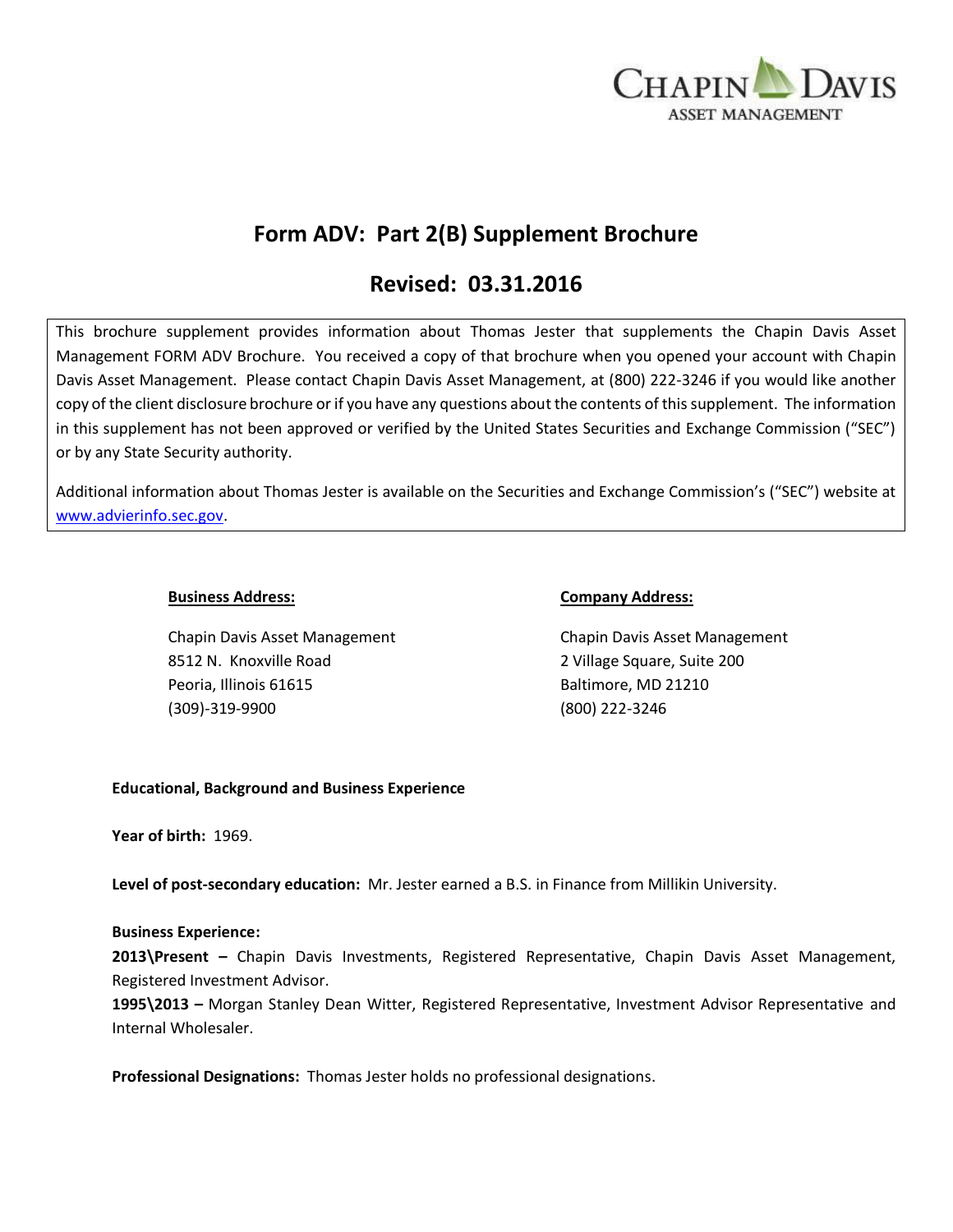

# **Form ADV: Part 2(B) Supplement Brochure**

# **Revised: 03.31.2016**

This brochure supplement provides information about Thomas Jester that supplements the Chapin Davis Asset Management FORM ADV Brochure. You received a copy of that brochure when you opened your account with Chapin Davis Asset Management. Please contact Chapin Davis Asset Management, at (800) 222-3246 if you would like another copy of the client disclosure brochure or if you have any questions about the contents of this supplement. The information in this supplement has not been approved or verified by the United States Securities and Exchange Commission ("SEC") or by any State Security authority.

Additional information about Thomas Jester is available on the Securities and Exchange Commission's ("SEC") website at [www.advierinfo.sec.gov.](http://www.advierinfo.sec.gov/)

8512 N. Knoxville Road 2 Village Square, Suite 200 Peoria, Illinois 61615 Baltimore, MD 21210 (309)-319-9900 (800) 222-3246

#### **Business Address: Company Address:**

Chapin Davis Asset Management Chapin Davis Asset Management

### **Educational, Background and Business Experience**

**Year of birth:** 1969.

**Level of post-secondary education:** Mr. Jester earned a B.S. in Finance from Millikin University.

#### **Business Experience:**

**2013\Present –** Chapin Davis Investments, Registered Representative, Chapin Davis Asset Management, Registered Investment Advisor.

**1995\2013 –** Morgan Stanley Dean Witter, Registered Representative, Investment Advisor Representative and Internal Wholesaler.

**Professional Designations:** Thomas Jester holds no professional designations.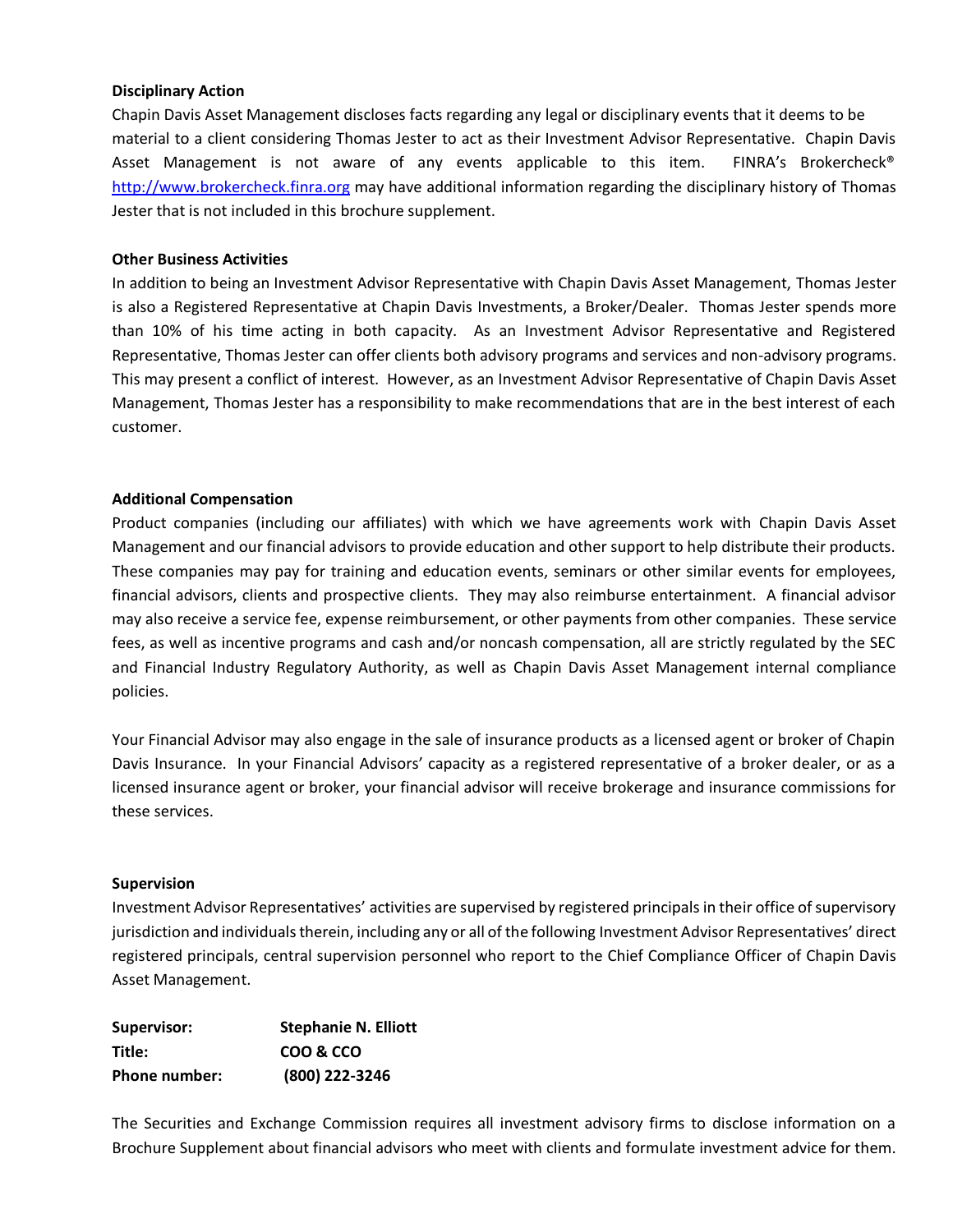#### **Disciplinary Action**

Chapin Davis Asset Management discloses facts regarding any legal or disciplinary events that it deems to be material to a client considering Thomas Jester to act as their Investment Advisor Representative. Chapin Davis Asset Management is not aware of any events applicable to this item. FINRA's Brokercheck® [http://www.brokercheck.finra.org](http://www.brokercheck.finra.org/) may have additional information regarding the disciplinary history of Thomas Jester that is not included in this brochure supplement.

#### **Other Business Activities**

In addition to being an Investment Advisor Representative with Chapin Davis Asset Management, Thomas Jester is also a Registered Representative at Chapin Davis Investments, a Broker/Dealer. Thomas Jester spends more than 10% of his time acting in both capacity. As an Investment Advisor Representative and Registered Representative, Thomas Jester can offer clients both advisory programs and services and non-advisory programs. This may present a conflict of interest. However, as an Investment Advisor Representative of Chapin Davis Asset Management, Thomas Jester has a responsibility to make recommendations that are in the best interest of each customer.

#### **Additional Compensation**

Product companies (including our affiliates) with which we have agreements work with Chapin Davis Asset Management and our financial advisors to provide education and other support to help distribute their products. These companies may pay for training and education events, seminars or other similar events for employees, financial advisors, clients and prospective clients. They may also reimburse entertainment. A financial advisor may also receive a service fee, expense reimbursement, or other payments from other companies. These service fees, as well as incentive programs and cash and/or noncash compensation, all are strictly regulated by the SEC and Financial Industry Regulatory Authority, as well as Chapin Davis Asset Management internal compliance policies.

Your Financial Advisor may also engage in the sale of insurance products as a licensed agent or broker of Chapin Davis Insurance. In your Financial Advisors' capacity as a registered representative of a broker dealer, or as a licensed insurance agent or broker, your financial advisor will receive brokerage and insurance commissions for these services.

#### **Supervision**

Investment Advisor Representatives' activities are supervised by registered principals in their office of supervisory jurisdiction and individuals therein, including any or all of the following Investment Advisor Representatives' direct registered principals, central supervision personnel who report to the Chief Compliance Officer of Chapin Davis Asset Management.

| Supervisor:          | <b>Stephanie N. Elliott</b> |
|----------------------|-----------------------------|
| Title:               | COO & CCO                   |
| <b>Phone number:</b> | (800) 222-3246              |

The Securities and Exchange Commission requires all investment advisory firms to disclose information on a Brochure Supplement about financial advisors who meet with clients and formulate investment advice for them.